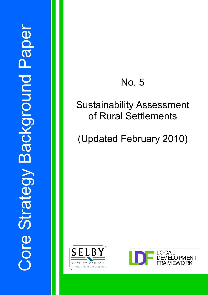# No. 5

# Sustainability Assessment of Rural Settlements

# (Updated February 2010)



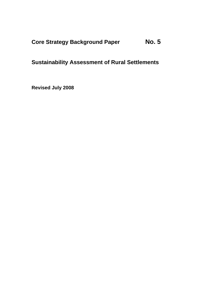## **Core Strategy Background Paper No. 5**

## **Sustainability Assessment of Rural Settlements**

**Revised July 2008**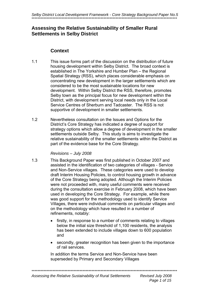### **Assessing the Relative Sustainability of Smaller Rural Settlements in Selby District**

#### **Context**

- 1.1 This issue forms part of the discussion on the distribution of future housing development within Selby District. The broad context is established in The Yorkshire and Humber Plan – the Regional Spatial Strategy (RSS), which places considerable emphasis on concentrating new development in the larger settlements which are considered to be the most sustainable locations for new development. Within Selby District the RSS, therefore, promotes Selby town as the principal focus for new development within the District, with development serving local needs only in the Local Service Centres of Sherburn and Tadcaster. The RSS is not supportive of development in smaller settlements.
- 1.2 Nevertheless consultation on the Issues and Options for the District's Core Strategy has indicated a degree of support for strategy options which allow a degree of development in the smaller settlements outside Selby. This study is aims to investigate the relative sustainability of the smaller settlements within the District as part of the evidence base for the Core Strategy.

#### *Revisions – July 2008*

- 1.3 This Background Paper was first published in October 2007 and assisted in the identification of two categories of villages - Service and Non-Service villages. These categories were used to develop draft Interim Housing Policies, to control housing growth in advance of the Core Strategy being adopted. Although the Interim Policies were not proceeded with, many useful comments were received during the consultation exercise in February 2008, which have been used in developing the Core Strategy. For example, while there was good support for the methodology used to identify Service Villages, there were individual comments on particular villages and on the methodology which have resulted in a number of refinements, notably:
	- firstly, in response to a number of comments relating to villages below the initial size threshold of 1,100 residents, the analysis has been extended to include villages down to 600 population and
	- secondly, greater recognition has been given to the importance of rail services.

 In addition the terms Service and Non-Service have been superseded by Primary and Secondary Villages

\*\*\*\*\*\*\*\*\*\*\*\*\*\*\*\*\*\*\*\*\*\*\*\*\*\*\*\*\*\*\*\*\*\*\*\*\*\*\*\*\*\*\*\*\*\*\*\*\*\*\*\*\*\*\*\*\*\*\*\*\*\*\*\*\*\*\*\*\*\*\*\*\*\*\*\*\*\*\*\*\*\*\*\*\*\*\*\*\*\*\*\*\*\*\*\*\*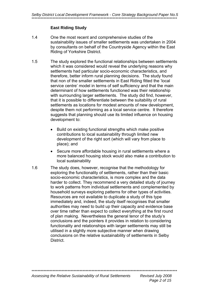#### **East Riding Study**

- 1.4 One the most recent and comprehensive studies of the sustainability issues of smaller settlements was undertaken in 2004 by consultants on behalf of the Countryside Agency within the East Riding of Yorkshire District.
- 1.5 The study explored the functional relationships between settlements which it was considered would reveal the underlying reasons why settlements had particular socio-economic characteristics, and therefore, better inform rural planning decisions. The study found that non of the smaller settlements in East Riding fitted the 'local service centre' model in terms of self sufficiency and that the main determinant of how settlements functioned was their relationship with surrounding larger settlements. The study did find, however, that it is possible to differentiate between the suitability of rural settlements as locations for modest amounts of new development, despite them not performing as a local service centre. It therefore suggests that planning should use its limited influence on housing development to:
	- Build on existing functional strengths which make positive contributions to local sustainability through limited new development of the right sort (which will vary from place to place); and
	- Secure more affordable housing in rural settlements where a more balanced housing stock would also make a contribution to local sustainability
- 1.6 The study does, however, recognise that the methodology for exploring the functionality of settlements, rather than their basic socio-economic characteristics, is more complex and the data harder to collect. They recommend a very detailed study of journey to work patterns from individual settlements and complemented by household surveys exploring patterns for other types of activities. Resources are not available to duplicate a study of this type immediately and, indeed, the study itself recognises that smaller authorities may need to build up their capacity and evidence base over time rather than expect to collect everything at the first round of plan making. Nevertheless the general tenor of the study's conclusions and the pointers it provides in relation to considering functionality and relationships with larger settlements may still be utilised in a slightly more subjective manner when drawing conclusions on the relative sustainability of settlements in Selby **District.**

\*\*\*\*\*\*\*\*\*\*\*\*\*\*\*\*\*\*\*\*\*\*\*\*\*\*\*\*\*\*\*\*\*\*\*\*\*\*\*\*\*\*\*\*\*\*\*\*\*\*\*\*\*\*\*\*\*\*\*\*\*\*\*\*\*\*\*\*\*\*\*\*\*\*\*\*\*\*\*\*\*\*\*\*\*\*\*\*\*\*\*\*\*\*\*\*\*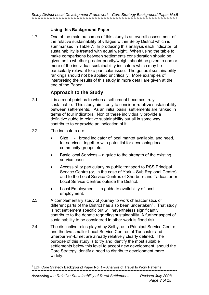#### **Using this Background Paper**

1.7 One of the main outcomes of this study is an overall assessment of the relative sustainability of villages within Selby District which is summarised in Table 7. In producing this analysis each indicator of sustainability is treated with equal weight. When using the table to make comparisons between settlements consideration should be given as to whether greater priority/weight should be given to one or more of the individual sustainability indicators which may be particularly relevant to a particular issue. The general sustainability rankings should not be applied uncritically. More examples of interpreting the results of this study in more detail are given at the end of the Paper.

### **Approach to the Study**

- 2.1 It is a moot point as to when a settlement becomes truly sustainable. This study aims only to consider **relative** sustainability between settlements. As an initial basis, settlements are ranked in terms of four indicators. Non of these individually provide a definitive guide to relative sustainability but all in some way contribute to or provide an indication of it.
- 2.2 The indicators are:
	- Size broad indicator of local market available, and need, for services, together with potential for developing local community groups etc.
	- Basic local Services a guide to the strength of the existing service base
	- Accessibility particularly by public transport to RSS Principal Service Centre (or, in the case of York – Sub Regional Centre) and to the Local Service Centres of Sherburn and Tadcaster or Local Service Centres outside the District.
	- Local Employment a guide to availability of local employment.
- 2.3 A complementary study of journey to work characteristics of different parts of the District has also been undertaken<sup>[1](#page-4-0)</sup>. That study is not settlement specific but will nevertheless significantly contribute to the debate regarding sustainability. A further aspect of sustainability to be considered in other work is flood risk.
- 2.4 The distinctive roles played by Selby, as a Principal Service Centre, and the two smaller Local Service Centres of Tadcaster and Sherburn-in-Elmet are already relatively clearly defined. The purpose of this study is to try and identify the most suitable settlements below this level to accept new development, should the Core Strategy identify a need to distribute development more widely.

<span id="page-4-0"></span><sup>\*\*\*\*\*\*\*\*\*\*\*\*\*\*\*\*\*\*\*\*\*\*\*\*\*\*\*\*\*\*\*\*\*\*\*\*\*\*\*\*\*\*\*\*\*\*\*\*\*\*\*\*\*\*\*\*\*\*\*\*\*\*\*\*\*\*\*\*\*\*\*\*\*\*\*\*\*\*\*\*\*\*\*\*\*\*\*\*\*\*\*\*\*\*\*\*\*</sup>  1 LDF Core Strategy Background Paper No. 1 – Analysis of Travel to Work Patterns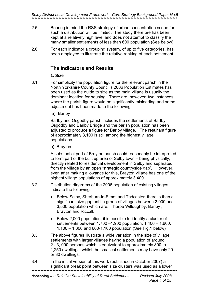*Selby District Local Development Framework - Core Strategy Background Paper No.5*  \*\*\*\*\*\*\*\*\*\*\*\*\*\*\*\*\*\*\*\*\*\*\*\*\*\*\*\*\*\*\*\*\*\*\*\*\*\*\*\*\*\*\*\*\*\*\*\*\*\*\*\*\*\*\*\*\*\*\*\*\*\*\*\*\*\*\*\*\*\*\*\*\*\*\*\*\*\*\*\*\*\*\*\*\*\*\*\*\*\*\*\*\*\*\*\*\*

- 2.5 Bearing in mind the RSS strategy of urban concentration scope for such a distribution will be limited. The study therefore has been kept at a relatively high level and does not attempt to classify the many smaller settlements of less than 600 population (See below).
- 2.6 For each indicator a grouping system, of up to five categories, has been employed to illustrate the relative ranking of each settlement.

#### **The Indicators and Results**

#### **1. Size**

- 3.1 For simplicity the population figure for the relevant parish in the North Yorkshire County Council's 2006 Population Estimates has been used as the guide to size as the main village is usually the dominant location for housing. There are, however, two instances where the parish figure would be significantly misleading and some adjustment has been made to the following:
	- a) Barlby

 Barlby and Osgodby parish includes the settlements of Barlby, Osgodby and Barlby Bridge and the parish population has been adjusted to produce a figure for Barlby village. The resultant figure of approximately 3,100 is still among the highest village populations.

b) Brayton

 A substantial part of Brayton parish could reasonably be interpreted to form part of the built up area of Selby town – being physically, directly related to residential development in Selby and separated from the village by an open 'strategic countryside gap'. However, even after making allowance for this, Brayton village has one of the highest village populations of approximately 3,400.

- 3.2 Distribution diagrams of the 2006 population of existing villages indicate the following:
	- Below Selby, Sherburn-in-Elmet and Tadcaster, there is then a significant size gap until a group of villages between 2,000 and 3,500 population which are: Thorpe Willoughby, Barlby , Brayton and Riccall.
	- Below 2,000 population, it is possible to identify a cluster of settlements between 1,700 –1,900 population, 1,400 – 1,600, 1,100 – 1,300 and 600-1,100 population (See Fig.1 below)
- 3.3 The above figures illustrate a wide variation in the size of village settlements with larger villages having a population of around 2 - 3, 000 persons which is equivalent to approximately 800 to 1,250 dwellings, whilst the smallest settlements may have only 20 or 30 dwellings.
- 3.4 In the initial version of this work (published in October 2007) a significant break point between size clusters was used as a lower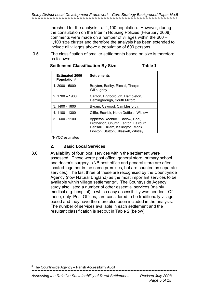threshold for the analysis - at 1,100 population. However, during the consultation on the Interim Housing Policies (February 2008) comments were made on a number of villages within the 600 – 1,100 size cluster and therefore the analysis has been extended to include all villages above a population of 600 persons.

 3.5 The classification of smaller settlements based on size is therefore as follows:

| <b>Settlement Classification By Size</b> | Table 1 |
|------------------------------------------|---------|
|                                          |         |

| <b>Estimated 2006</b><br><b>Population*</b> | <b>Settlements</b>                                                                                                                                    |
|---------------------------------------------|-------------------------------------------------------------------------------------------------------------------------------------------------------|
| 1. 2000 - 5000                              | Brayton, Barlby, Riccall, Thorpe<br>Willoughby                                                                                                        |
| $2.1700 - 1900$                             | Carlton, Eggborough, Hambleton,<br>Hemingbrough, South Milford                                                                                        |
| 3. 1400 - 1600                              | Byram, Cawood, Camblesforth,                                                                                                                          |
| 4.1100 - 1300                               | Cliffe, Escrick, North Duffield, Wistow                                                                                                               |
| $5.600 - 1100$                              | Appleton Roebuck, Barlow, Beal,<br>Brotherton, Church Fenton, Fairburn,<br>Hensall, Hillam, Kellington, Monk<br>Fryston, Stutton, Ulleskelf, Whitley, |

\*NYCC estimates

#### **2. Basic Local Services**

The number of services available in each settlement and the resultant classification is set out in Table 2 (below): 3.6 Availability of four local services within the settlement were assessed. These were: post office; general store; primary school and doctor's surgery. (NB post office and general store are often located together in the same premises, but are counted as separate services). The last three of these are recognised by the Countryside Agency (now Natural England) as the most important services to be available within village settlements<sup>[2](#page-6-0)</sup>. The Countryside Agency study also listed a number of other essential services (mainly medical e.g. hospital) to which easy accessibility was needed. Of these, only Post Offices, are considered to be traditionally village based and they have therefore also been included in the analysis.

1

<span id="page-6-0"></span> $2$  The Countryside Agency – Parish Accessibility Audit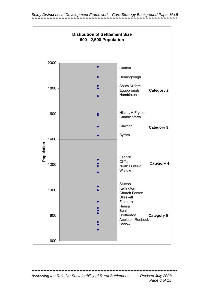

\*\*\*\*\*\*\*\*\*\*\*\*\*\*\*\*\*\*\*\*\*\*\*\*\*\*\*\*\*\*\*\* 

Assessing the Relative Sustainability of Rural Settlements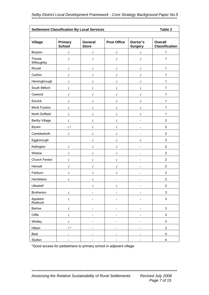*Selby District Local Development Framework - Core Strategy Background Paper No.5*  \*\*\*\*\*\*\*\*\*\*\*\*\*\*\*\*\*\*\*\*\*\*\*\*\*\*\*\*\*\*\*\*\*\*\*\*\*\*\*\*\*\*\*\*\*\*\*\*\*\*\*\*\*\*\*\*\*\*\*\*\*\*\*\*\*\*\*\*\*\*\*\*\*\*\*\*\*\*\*\*\*\*\*\*\*\*\*\*\*\*\*\*\*\*\*\*\*

|                       | <b>Settlement Classification By Local Services</b><br>Table 2 |                              |                              |                              |                                         |  |
|-----------------------|---------------------------------------------------------------|------------------------------|------------------------------|------------------------------|-----------------------------------------|--|
| <b>Village</b>        | <b>Primary</b><br><b>School</b>                               | General<br><b>Store</b>      | <b>Post Office</b>           | Doctor's<br><b>Surgery</b>   | <b>Overall</b><br><b>Classification</b> |  |
| <b>Brayton</b>        | $\sqrt{}$                                                     | $\sqrt{}$                    | $\sqrt{}$                    | $\sqrt{\phantom{a}}$         |                                         |  |
| Thorpe<br>Willoughby  | $\sqrt{}$                                                     | $\sqrt{}$                    | $\sqrt{}$                    | $\sqrt{}$                    | 1                                       |  |
| Riccall               | $\sqrt{}$                                                     | $\sqrt{}$                    | $\sqrt{}$                    | √                            | $\mathbf{1}$                            |  |
| Carlton               | $\sqrt{}$                                                     | $\sqrt{}$                    | $\sqrt{}$                    | $\sqrt{}$                    | 1                                       |  |
| Hemingbrough          | $\sqrt{}$                                                     | $\sqrt{}$                    | $\sqrt{}$                    | $\sqrt{}$                    | 1                                       |  |
| South Milford         | $\sqrt{}$                                                     | $\sqrt{}$                    | √                            | $\sqrt{}$                    | $\mathbf{1}$                            |  |
| Cawood                | $\sqrt{}$                                                     | $\sqrt{}$                    | $\sqrt{}$                    | $\sqrt{}$                    | 1                                       |  |
| Escrick               | $\sqrt{}$                                                     | $\sqrt{}$                    | $\sqrt{}$                    | $\sqrt{}$                    | $\mathbf{1}$                            |  |
| Monk Fryston          | $\sqrt{}$                                                     | $\sqrt{}$                    | $\sqrt{ }$                   | $\sqrt{}$                    | $\mathbf{1}$                            |  |
| North Duffield        | $\sqrt{}$                                                     | $\sqrt{2}$                   | $\sqrt{}$                    | $\sqrt{}$                    | $\mathbf{1}$                            |  |
| <b>Barlby Village</b> | $\sqrt{}$                                                     | $\sqrt{}$                    | $\sqrt{}$                    |                              | $\boldsymbol{2}$                        |  |
| <b>Byram</b>          | $\sqrt{*}$                                                    | $\sqrt{}$                    | $\sqrt{}$                    |                              | $\overline{c}$                          |  |
| Camblesforth          | $\sqrt{}$                                                     | $\sqrt{}$                    | $\sqrt{}$                    |                              | $\overline{2}$                          |  |
| Eggborough            |                                                               | $\sqrt{}$                    | $\sqrt{}$                    | $\sqrt{}$                    | $\overline{2}$                          |  |
| Kellington            | $\sqrt{}$                                                     | √                            | $\sqrt{}$                    |                              | $\overline{2}$                          |  |
| Wistow                | $\sqrt{}$                                                     | $\sqrt{}$                    | $\sqrt{}$                    | $\overline{a}$               | $\overline{2}$                          |  |
| Church Fenton         | $\sqrt{}$                                                     | $\sqrt{}$                    | $\sqrt{}$                    | $\overline{a}$               | $\overline{2}$                          |  |
| Hensall               | $\sqrt{}$                                                     | $\sqrt{}$                    | $\sqrt{}$                    |                              | $\overline{2}$                          |  |
| Fairburn              | $\sqrt{}$                                                     | $\sqrt{}$                    | $\sqrt{}$                    |                              | $\overline{c}$                          |  |
| Hambleton             | $\sqrt{}$                                                     | V                            |                              |                              | $\overline{\mathbf{c}}$                 |  |
| Ulleskelf             |                                                               | $\sqrt{}$                    | $\sqrt{}$                    | $\qquad \qquad \blacksquare$ | $\boldsymbol{2}$                        |  |
| Brotherton            | $\sqrt{}$                                                     | $\qquad \qquad \blacksquare$ | $\qquad \qquad \blacksquare$ | $\qquad \qquad \blacksquare$ | 3                                       |  |
| Appleton<br>Roebuck   | $\sqrt{}$                                                     | ۰                            | ۰                            | $\overline{\phantom{a}}$     | 3                                       |  |
| Barlow                | $\sqrt{\phantom{a}}$                                          |                              |                              |                              | $\ensuremath{\mathsf{3}}$               |  |
| Cliffe                | $\sqrt{}$                                                     | L,                           | $\overline{a}$               | L,                           | 3                                       |  |
| Whitley               | $\sqrt{}$                                                     | $\overline{\phantom{0}}$     | $\overline{\phantom{0}}$     | $\overline{\phantom{a}}$     | 3                                       |  |
| Hillam                | $\sqrt{\, *}$                                                 | $\overline{\phantom{0}}$     | $\overline{\phantom{0}}$     | $\overline{\phantom{0}}$     | 3                                       |  |
| Beal                  | $\overline{a}$                                                | -                            | $\overline{a}$               | Ĭ.                           | 4                                       |  |
| Stutton               |                                                               |                              |                              |                              | 4                                       |  |

\*Good access for pedestrians to primary school in adjacent village

Assessing the Relative Sustainability of Rural Settlements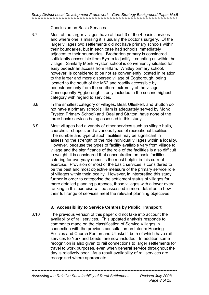Conclusion on Basic Services

- 3.7 Most of the larger villages have at least 3 of the 4 basic services and where one is missing it is usually the doctor's surgery. Of the larger villages two settlements did not have primary schools within their boundaries, but in each case had schools immediately adjacent to their boundaries. Brotherton primary is considered sufficiently accessible from Byram to justify it counting as within the village. Similarly Monk Fryston school is conveniently situated for easy pedestrian access from Hillam. Whitley primary school, however, is considered to be not as conveniently located in relation to the larger and more dispersed village of Eggborough, being located to the south of the M62 and readily accessible by pedestrians only from the southern extremity of the village. Consequently Eggborough is only included in the second highest category with regard to services.
- 3.8 In the smallest category of villages, Beal, Ulleskelf, and Stutton do not have a primary school (Hillam is adequately served by Monk Fryston Primary School) and Beal and Stutton have none of the three basic services being assessed in this study.
- 3.9 Most villages had a variety of other services such as village halls, churches, chapels and a various types of recreational facilities. The number and type of such facilities may be significant in assessing the strength of the role individual villages within a locality. However, because the types of facility available vary from village to village and the significance of the role of the facilities is also difficult to weight, it is considered that concentration on basic facilities catering for everyday needs is the most helpful in this current exercise. Provision of most of the basic services is considered to be the best and most objective measure of the primary service role of villages within their locality. However, in interpreting this study further in order to categorise the settlement status of villages for more detailed planning purposes, those villages with a lower overall ranking in this exercise will be assessed in more detail as to how their full range of services meet the relevant planning objectives .

#### **3. Accessibility to Service Centres by Public Transport**

3.10 The previous version of this paper did not take into account the availability of rail services. This updated analysis responds to comments made on the classification of Service Villages in connection with the previous consultation on Interim Housing Policies and Church Fenton and Ulleskelf, both of which have rail services to York and Leeds, are now included. In addition some recognition is also given to rail connections to larger settlements for travel to work purposes, even when general service throughout the day is relatively poor. As a result availability of rail services are recognised where appropriate.

\*\*\*\*\*\*\*\*\*\*\*\*\*\*\*\*\*\*\*\*\*\*\*\*\*\*\*\*\*\*\*\*\*\*\*\*\*\*\*\*\*\*\*\*\*\*\*\*\*\*\*\*\*\*\*\*\*\*\*\*\*\*\*\*\*\*\*\*\*\*\*\*\*\*\*\*\*\*\*\*\*\*\*\*\*\*\*\*\*\*\*\*\*\*\*\*\*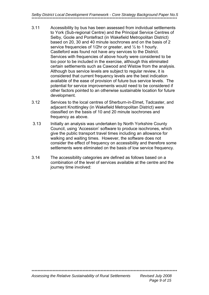Selby District Local Development Framework - Core Strategy Background Paper No.5

- $3.11$ Accessibility by bus has been assessed from individual settlements to York (Sub-regional Centre) and the Principal Service Centres of Selby. Goole and Pontefract (in Wakefield Metropolitan District) based on 20, 30 and 40 minute isochrones and on the basis of 2 service frequencies of 1/2hr or greater, and 1/2 to 1 hourly. Castleford was found not have any services to the District. Services with frequencies of above hourly were considered to be too poor to be included in the exercise, although this eliminated certain settlements such as Cawood and Wistow from the analysis. Although bus service levels are subject to regular review, it is considered that current frequency levels are the best indication available of the ease of provision of future bus service levels. The potential for service improvements would need to be considered if other factors pointed to an otherwise sustainable location for future development.
- $3.12$ Services to the local centres of Sherburn-in-Elmet. Tadcaster, and adiacent Knottingley (in Wakefield Metropolitan District) were classified on the basis of 10 and 20 minute isochrones and frequency as above.
- $3.13$ Initially an analysis was undertaken by North Yorkshire County Council, using 'Accession' software to produce isochrones, which give the public transport travel times including an allowance for walking and waiting times. However, the software does not consider the effect of frequency on accessibility and therefore some settlements were eliminated on the basis of low service frequency.
- $314$ The accessibility categories are defined as follows based on a combination of the level of services available at the centre and the journey time involved: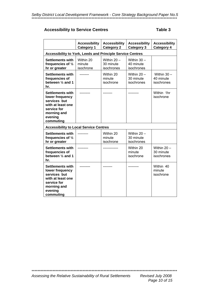#### **Accessibility to Service Centres**

#### Table 3

|                                                                                                                                       | <b>Accessibility</b><br><b>Category 1</b> | <b>Accessibility</b><br><b>Category 2</b> | <b>Accessibility</b><br><b>Category 3</b> | <b>Accessibility</b><br>Category 4       |  |  |
|---------------------------------------------------------------------------------------------------------------------------------------|-------------------------------------------|-------------------------------------------|-------------------------------------------|------------------------------------------|--|--|
| <b>Accessibility to York, Leeds and Principle Service Centres</b>                                                                     |                                           |                                           |                                           |                                          |  |  |
| <b>Settlements with</b><br>frequencies of $\frac{1}{2}$<br>hr or greater                                                              | Within 20<br>minute<br>isochrone          | Within $20 -$<br>30 minute<br>isochrones  | Within $30 -$<br>40 minute<br>isochrones  |                                          |  |  |
| <b>Settlements with</b><br>frequencies of<br>between $\frac{1}{2}$ and 1<br>hr.                                                       |                                           | Within 20<br>minute<br>isochrone          | Within $20 -$<br>30 minute<br>isochrones  | Within $30 -$<br>40 minute<br>isochrones |  |  |
| <b>Settlements with</b><br>lower frequency<br>services but<br>with at least one<br>service for<br>morning and<br>evening<br>commuting |                                           |                                           |                                           | Within 1hr<br>isochrone                  |  |  |
| <b>Accessibility to Local Service Centres</b>                                                                                         |                                           |                                           |                                           |                                          |  |  |
| <b>Settlements with</b><br>frequencies of $\frac{1}{2}$<br>hr or greater                                                              |                                           | Within 20<br>minute<br>isochrone          | Within $20 -$<br>30 minute<br>isochrones  |                                          |  |  |
| <b>Settlements with</b><br>frequencies of<br>between $\frac{1}{2}$ and 1<br>hr.                                                       |                                           |                                           | Within 20<br>minute<br>isochrone          | Within $20 -$<br>30 minute<br>isochrones |  |  |
| <b>Settlements with</b><br>lower frequency<br>services but<br>with at least one<br>service for<br>morning and<br>evening<br>commuting |                                           |                                           |                                           | Within 40<br>minute<br>isochrone         |  |  |

Assessing the Relative Sustainability of Rural Settlements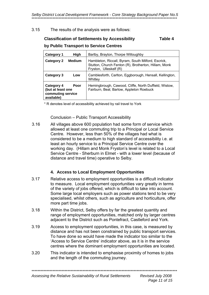#### 3.15 The results of the analysis were as follows:

### **Classification of Settlements by Accessibility Table 4**

#### **by Public Transport to Service Centres**

| High<br>Category 1                                                                | Barlby, Brayton, Thorpe Willoughby                                                                                                   |
|-----------------------------------------------------------------------------------|--------------------------------------------------------------------------------------------------------------------------------------|
| <b>Category 2</b><br><b>Medium</b>                                                | Hambleton, Riccall, Byram, South Milford, Escrick,<br>Stutton, Church Fenton (R), Brotherton, Hillam, Monk<br>Fryston, Ulleskelf (R) |
| Category 3<br>Low                                                                 | Camblesforth, Carlton, Eggborough, Hensall, Kellington,<br>Whitley                                                                   |
| <b>Category 4</b><br>Poor<br>(but at least one<br>commuting service<br>available) | Hemingbrough, Cawood, Cliffe, North Duffield, Wistow,<br>Fairburn, Beal, Barlow, Appleton Roebuck                                    |

\* R denotes level of accessibility achieved by rail travel to York

#### Conclusion – Public Transport Accessibility

3.16 All villages above 600 population had some form of service which allowed at least one commuting trip to a Principal or Local Service Centre. However, less than 50% of the villages had what is considered to be a medium to high standard of accessibility i.e. at least an hourly service to a Principal Service Centre over the working day. (Hillam and Monk Fryston's level is related to a Local Service Centre - Sherburn in Elmet - with a lower level (because of distance and travel time) operative to Selby.

#### **4. Access to Local Employment Opportunities**

- 3.17 Relative access to employment opportunities is a difficult indicator to measure. Local employment opportunities vary greatly in terms of the variety of jobs offered, which is difficult to take into account. Some large local employers such as power stations tend to be very specialised, whilst others, such as agriculture and horticulture, offer more part time jobs.
- 3.18 Within the District, Selby offers by far the greatest quantity and range of employment opportunities, matched only by larger centres adjacent to the District such as Pontefract, Castleford and York.
- 3.19 Access to employment opportunities, in this case, is measured by distance and has not been constrained by public transport services. To have done so would have made the indicator too similar to the 'Access to Service Centre' indicator above, as it is in the service centres where the dominant employment opportunities are located.
- 3.20 This indicator is intended to emphasise proximity of homes to jobs and the length of the commuting journey.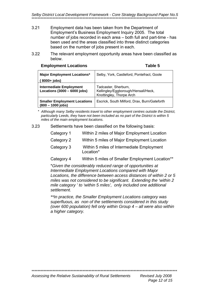*Selby District Local Development Framework - Core Strategy Background Paper No.5*  \*\*\*\*\*\*\*\*\*\*\*\*\*\*\*\*\*\*\*\*\*\*\*\*\*\*\*\*\*\*\*\*\*\*\*\*\*\*\*\*\*\*\*\*\*\*\*\*\*\*\*\*\*\*\*\*\*\*\*\*\*\*\*\*\*\*\*\*\*\*\*\*\*\*\*\*\*\*\*\*\*\*\*\*\*\*\*\*\*\*\*\*\*\*\*\*\*

- 3.21 Employment data has been taken from the Department of Employment's Business Employment Inquiry 2005. The total number of jobs recorded in each area – both full and part-time - has been used and the areas classified into three distinct categories based on the number of jobs present in each.
- 3.22 The relevant employment opportunity areas have been classified as below.

| <b>Employment Locations</b> | Table 5 |
|-----------------------------|---------|
|                             |         |

| <b>Major Employment Locations*</b>                               | Selby, York, Castleford, Pontefract, Goole                                              |
|------------------------------------------------------------------|-----------------------------------------------------------------------------------------|
| $8000+$ jobs)                                                    |                                                                                         |
| <b>Intermediate Employment</b><br>Locations $(3000 - 6000$ jobs) | Tadcaster, Sherburn,<br>Kellingley/Eggborough/Hensall/Heck,<br>Knottingley, Thorpe Arch |
| <b>Smaller Employment Locations</b><br>$(800 - 1000$ jobs)       | Escrick, South Milford, Drax, Burn/Gateforth                                            |

\* *Although many Selby residents travel to other employment centres outside the District, particularly Leeds, they have not been included as no part of the District is within 5 miles of the main employment locations.* 

3.23 Settlements have been classified on the following basis:

| Category 1 | Within 2 miles of Major Employment Location            |
|------------|--------------------------------------------------------|
| Category 2 | Within 5 miles of Major Employment Location            |
| Category 3 | Within 5 miles of Intermediate Employment<br>Location* |
| Category 4 | Within 5 miles of Smaller Employment Location**        |

\**Given the considerably reduced range of opportunities at Intermediate Employment Locations compared with Major Locations, the difference between access distances of within 2 or 5 miles was not considered to be significant. Extending the 'within 2 mile category ' to 'within 5 miles', only included one additional settlement.* 

*\*\*In practice, the Smaller Employment Locations category was superfluous, as non of the settlements considered in this study (over 600 population) fell only within Group 4 – all were also within a higher category.*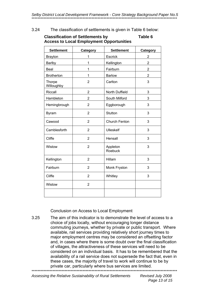Selby District Local Development Framework - Core Strategy Background Paper No.5

#### $324$ The classification of settlements is given in Table 6 below:

#### **Classification of Settlements by** Table 6 **Access to Local Employment Opportunities**

| <b>Settlement</b>           | Category       | <b>Settlement</b>    | Category       |
|-----------------------------|----------------|----------------------|----------------|
| <b>Brayton</b>              | 1              | Escrick              | $\overline{2}$ |
| <b>Barlby</b>               | 1              | Kellington           | $\overline{2}$ |
| Beal                        | 1              | Fairburn             | $\overline{2}$ |
| <b>Brotherton</b>           | 1              | <b>Barlow</b>        | $\overline{2}$ |
| <b>Thorpe</b><br>Willoughby | $\overline{2}$ | Carlton              | 3              |
| Riccall                     | $\overline{2}$ | North Duffield       | 3              |
| Hambleton                   | $\overline{2}$ | South Milford        | 3              |
| Hemingbrough                | $\overline{2}$ | Eggborough           | 3              |
| <b>Byram</b>                | $\overline{2}$ | Stutton              | 3              |
| Cawood                      | $\overline{2}$ | <b>Church Fenton</b> | 3              |
| Camblesforth                | $\overline{2}$ | <b>Ulleskelf</b>     | 3              |
| Cliffe                      | $\overline{2}$ | Hensall              | 3              |
| Wistow                      | $\overline{2}$ | Appleton<br>Roebuck  | 3              |
| Kellington                  | $\overline{2}$ | Hillam               | 3              |
| Fairburn                    | $\overline{2}$ | Monk Fryston         | 3              |
| Cliffe                      | $\overline{2}$ | Whitley              | 3              |
| Wistow                      | $\overline{2}$ |                      |                |
|                             |                |                      |                |

**Conclusion on Access to Local Employment** 

 $3.25$ The aim of this indicator is to demonstrate the level of access to a choice of jobs locally, without encouraging longer distance commuting journeys, whether by private or public transport. Where available, rail services providing relatively short journey times to major employment centres may be considered an offsetting factor and, in cases where there is some doubt over the final classification of villages, the attractiveness of these services will need to be considered on an individual basis. It has to be remembered that the availability of a rail service does not supersede the fact that, even in these cases, the majority of travel to work will continue to be by private car, particularly where bus services are limited.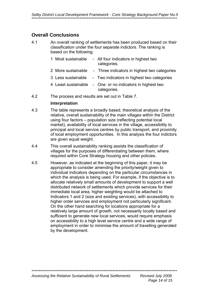### **Overall Conclusions**

4.1 An overall ranking of settlements has been produced based on their classification under the four separate indictors. The ranking is based on the following:

|     | 1 Most sustainable                              | - All four indicators in highest two<br>categories.                      |
|-----|-------------------------------------------------|--------------------------------------------------------------------------|
|     | 2 More sustainable                              | - Three indicators in highest two categories                             |
|     | 3 Less sustainable                              | - Two indicators in highest two categories                               |
|     |                                                 | 4 Least sustainable - One or no indicators in highest two<br>categories. |
| 4.2 | The process and results are set out in Table 7. |                                                                          |

#### **Interpretation**

- 4.3 The table represents a broadly based, theoretical analysis of the relative, overall sustainability of the main villages within the District using four factors – population size (reflecting potential local market), availability of local services in the village, accessibility to principal and local service centres by public transport, and proximity of local employment opportunities. In this analysis the four indictors are given equal weight.
- 4.4 This overall sustainability ranking assists the classification of villages for the purposes of differentiating between them, where required within Core Strategy housing and other policies.
- 4.5 However, as indicated at the beginning of this paper, it may be appropriate to consider amending the priority/weight given to individual indicators depending on the particular circumstances in which the analysis is being used. For example, if the objective is to allocate relatively small amounts of development to support a well distributed network of settlements which provide services for their immediate local area, higher weighting would be attached to Indicators 1 and 2 (size and existing services), with accessibility to higher order services and employment not particularly significant. On the other hand searching for locations appropriate for a relatively large amount of growth, not necessarily locally based and sufficient to generate new local services, would require emphasis on accessibility to a high level service centre and a wide range of employment in order to minimise the amount of travelling generated by the development.

\*\*\*\*\*\*\*\*\*\*\*\*\*\*\*\*\*\*\*\*\*\*\*\*\*\*\*\*\*\*\*\*\*\*\*\*\*\*\*\*\*\*\*\*\*\*\*\*\*\*\*\*\*\*\*\*\*\*\*\*\*\*\*\*\*\*\*\*\*\*\*\*\*\*\*\*\*\*\*\*\*\*\*\*\*\*\*\*\*\*\*\*\*\*\*\*\*